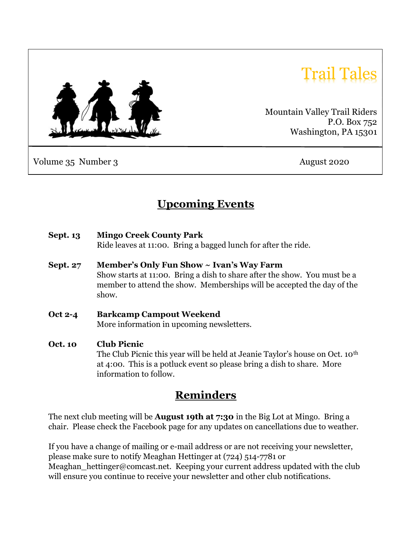

# 'rail Tales

Mountain Valley Trail Riders P.O. Box 752 Washington, PA 15301

Volume 35 Number 3 August 2020

# Upcoming Events

Sept. 13 Mingo Creek County Park

Ride leaves at 11:00. Bring a bagged lunch for after the ride.

- Sept. 27 Member's Only Fun Show ~ Ivan's Way Farm Show starts at 11:00. Bring a dish to share after the show. You must be a member to attend the show. Memberships will be accepted the day of the show.
- Oct 2-4 Barkcamp Campout Weekend More information in upcoming newsletters.
- Oct. 10 Club Picnic The Club Picnic this year will be held at Jeanie Taylor's house on Oct. 10th at 4:00. This is a potluck event so please bring a dish to share. More information to follow.

### Reminders

The next club meeting will be **August 19th at 7:30** in the Big Lot at Mingo. Bring a chair. Please check the Facebook page for any updates on cancellations due to weather.

If you have a change of mailing or e-mail address or are not receiving your newsletter, please make sure to notify Meaghan Hettinger at (724) 514-7781 or Meaghan hettinger@comcast.net. Keeping your current address updated with the club will ensure you continue to receive your newsletter and other club notifications.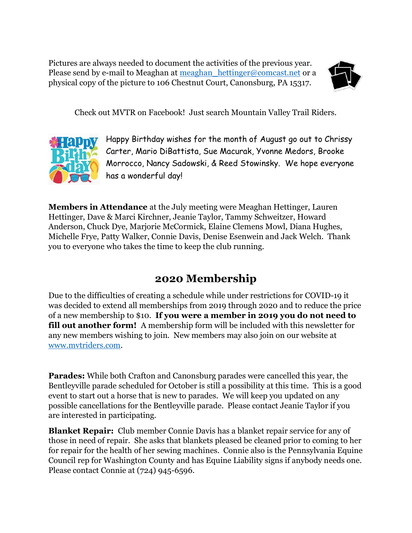Pictures are always needed to document the activities of the previous year. Please send by e-mail to Meaghan at meaghan hettinger@comcast.net or a physical copy of the picture to 106 Chestnut Court, Canonsburg, PA 15317.



Check out MVTR on Facebook! Just search Mountain Valley Trail Riders.



Happy Birthday wishes for the month of August go out to Chrissy Carter, Mario DiBattista, Sue Macurak, Yvonne Medors, Brooke Morrocco, Nancy Sadowski, & Reed Stowinsky. We hope everyone has a wonderful day!

Members in Attendance at the July meeting were Meaghan Hettinger, Lauren Hettinger, Dave & Marci Kirchner, Jeanie Taylor, Tammy Schweitzer, Howard Anderson, Chuck Dye, Marjorie McCormick, Elaine Clemens Mowl, Diana Hughes, Michelle Frye, Patty Walker, Connie Davis, Denise Esenwein and Jack Welch. Thank you to everyone who takes the time to keep the club running.

## 2020 Membership

Due to the difficulties of creating a schedule while under restrictions for COVID-19 it was decided to extend all memberships from 2019 through 2020 and to reduce the price of a new membership to \$10. If you were a member in 2019 you do not need to **fill out another form!** A membership form will be included with this newsletter for any new members wishing to join. New members may also join on our website at www.mvtriders.com.

Parades: While both Crafton and Canonsburg parades were cancelled this year, the Bentleyville parade scheduled for October is still a possibility at this time. This is a good event to start out a horse that is new to parades. We will keep you updated on any possible cancellations for the Bentleyville parade. Please contact Jeanie Taylor if you are interested in participating.

Blanket Repair: Club member Connie Davis has a blanket repair service for any of those in need of repair. She asks that blankets pleased be cleaned prior to coming to her for repair for the health of her sewing machines. Connie also is the Pennsylvania Equine Council rep for Washington County and has Equine Liability signs if anybody needs one. Please contact Connie at (724) 945-6596.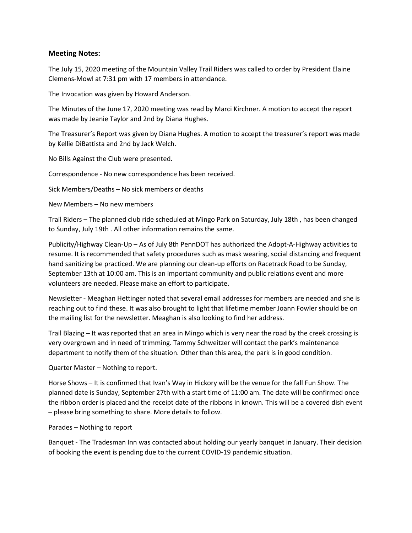#### Meeting Notes:

The July 15, 2020 meeting of the Mountain Valley Trail Riders was called to order by President Elaine Clemens-Mowl at 7:31 pm with 17 members in attendance.

The Invocation was given by Howard Anderson.

The Minutes of the June 17, 2020 meeting was read by Marci Kirchner. A motion to accept the report was made by Jeanie Taylor and 2nd by Diana Hughes.

The Treasurer's Report was given by Diana Hughes. A motion to accept the treasurer's report was made by Kellie DiBattista and 2nd by Jack Welch.

No Bills Against the Club were presented.

Correspondence - No new correspondence has been received.

Sick Members/Deaths – No sick members or deaths

New Members – No new members

Trail Riders – The planned club ride scheduled at Mingo Park on Saturday, July 18th , has been changed to Sunday, July 19th . All other information remains the same.

Publicity/Highway Clean-Up – As of July 8th PennDOT has authorized the Adopt-A-Highway activities to resume. It is recommended that safety procedures such as mask wearing, social distancing and frequent hand sanitizing be practiced. We are planning our clean-up efforts on Racetrack Road to be Sunday, September 13th at 10:00 am. This is an important community and public relations event and more volunteers are needed. Please make an effort to participate.

Newsletter - Meaghan Hettinger noted that several email addresses for members are needed and she is reaching out to find these. It was also brought to light that lifetime member Joann Fowler should be on the mailing list for the newsletter. Meaghan is also looking to find her address.

Trail Blazing – It was reported that an area in Mingo which is very near the road by the creek crossing is very overgrown and in need of trimming. Tammy Schweitzer will contact the park's maintenance department to notify them of the situation. Other than this area, the park is in good condition.

Quarter Master – Nothing to report.

Horse Shows – It is confirmed that Ivan's Way in Hickory will be the venue for the fall Fun Show. The planned date is Sunday, September 27th with a start time of 11:00 am. The date will be confirmed once the ribbon order is placed and the receipt date of the ribbons in known. This will be a covered dish event – please bring something to share. More details to follow.

#### Parades – Nothing to report

Banquet - The Tradesman Inn was contacted about holding our yearly banquet in January. Their decision of booking the event is pending due to the current COVID-19 pandemic situation.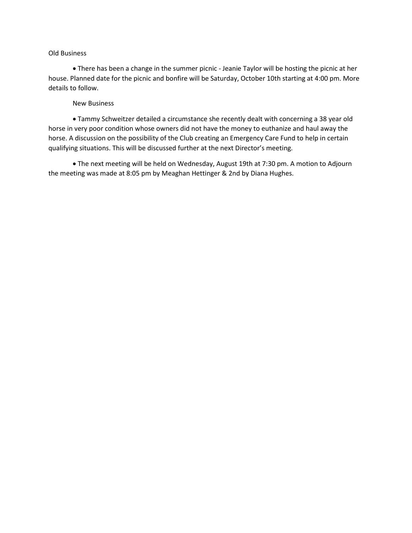#### Old Business

 There has been a change in the summer picnic - Jeanie Taylor will be hosting the picnic at her house. Planned date for the picnic and bonfire will be Saturday, October 10th starting at 4:00 pm. More details to follow.

#### New Business

 Tammy Schweitzer detailed a circumstance she recently dealt with concerning a 38 year old horse in very poor condition whose owners did not have the money to euthanize and haul away the horse. A discussion on the possibility of the Club creating an Emergency Care Fund to help in certain qualifying situations. This will be discussed further at the next Director's meeting.

 The next meeting will be held on Wednesday, August 19th at 7:30 pm. A motion to Adjourn the meeting was made at 8:05 pm by Meaghan Hettinger & 2nd by Diana Hughes.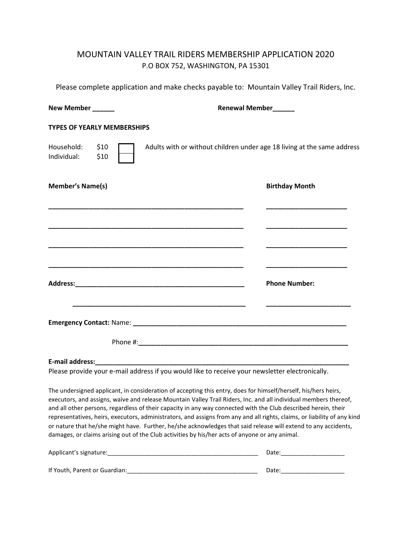### MOUNTAIN VALLEY TRAIL RIDERS MEMBERSHIP APPLICATION 2020 P.O BOX 752, WASHINGTON, PA 15301

Please complete application and make checks payable to: Mountain Valley Trail Riders, Inc.

| New Member _____                   |              | <b>Renewal Member</b>                                                                                                                                               |  |  |  |
|------------------------------------|--------------|---------------------------------------------------------------------------------------------------------------------------------------------------------------------|--|--|--|
| <b>TYPES OF YEARLY MEMBERSHIPS</b> |              |                                                                                                                                                                     |  |  |  |
| Household:<br>Individual:          | \$10<br>\$10 | Adults with or without children under age 18 living at the same address                                                                                             |  |  |  |
| <b>Member's Name(s)</b>            |              | <b>Birthday Month</b>                                                                                                                                               |  |  |  |
|                                    |              | <u> 1989 - Johann John Stoff, deutscher Stoffen und der Stoffen und der Stoffen und der Stoffen und der Stoffen u</u><br><u> 1950 - Johann Stein, mars et al. (</u> |  |  |  |
|                                    |              | <b>Phone Number:</b>                                                                                                                                                |  |  |  |
|                                    |              |                                                                                                                                                                     |  |  |  |
|                                    |              |                                                                                                                                                                     |  |  |  |
| <b>E-mail address:</b>             |              |                                                                                                                                                                     |  |  |  |

Please provide your e-mail address if you would like to receive your newsletter electronically.

The undersigned applicant, in consideration of accepting this entry, does for himself/herself, his/hers heirs, executors, and assigns, waive and release Mountain Valley Trail Riders, Inc. and all individual members thereof, and all other persons, regardless of their capacity in any way connected with the Club described herein, their representatives, heirs, executors, administrators, and assigns from any and all rights, claims, or liability of any kind or nature that he/she might have. Further, he/she acknowledges that said release will extend to any accidents, damages, or claims arising out of the Club activities by his/her acts of anyone or any animal.

| Applicant's signature:        | Date: |
|-------------------------------|-------|
| If Youth, Parent or Guardian: | Date: |